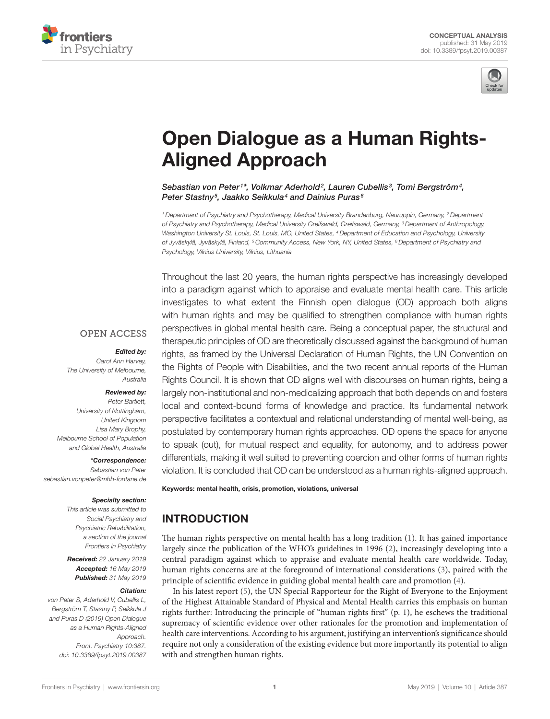



# [Open Dialogue as a Human Rights-](https://www.frontiersin.org/article/10.3389/fpsyt.2019.00387/full)[Aligned Approach](https://www.frontiersin.org/article/10.3389/fpsyt.2019.00387/full)

*[Sebastian von Peter](https://loop.frontiersin.org/people/314123)1\*, Volkmar Aderhold2, [Lauren Cubellis](https://loop.frontiersin.org/people/726903)3, [Tomi Bergström](https://loop.frontiersin.org/people/721512)4, Peter Stastny5, Jaakko Seikkula4 and Dainius Puras6*

*1 Department of Psychiatry and Psychotherapy, Medical University Brandenburg, Neuruppin, Germany, 2 Department of Psychiatry and Psychotherapy, Medical University Greifswald, Greifswald, Germany, 3 Department of Anthropology,*  Washington University St. Louis, St. Louis, MO, United States, <sup>4</sup> Department of Education and Psychology, University *of Jyväskylä, Jyväskylä, Finland, 5 Community Access, New York, NY, United States, 6 Department of Psychiatry and Psychology, Vilnius University, Vilnius, Lithuania*

Throughout the last 20 years, the human rights perspective has increasingly developed into a paradigm against which to appraise and evaluate mental health care. This article investigates to what extent the Finnish open dialogue (OD) approach both aligns with human rights and may be qualified to strengthen compliance with human rights perspectives in global mental health care. Being a conceptual paper, the structural and therapeutic principles of OD are theoretically discussed against the background of human rights, as framed by the Universal Declaration of Human Rights, the UN Convention on the Rights of People with Disabilities, and the two recent annual reports of the Human Rights Council. It is shown that OD aligns well with discourses on human rights, being a largely non-institutional and non-medicalizing approach that both depends on and fosters local and context-bound forms of knowledge and practice. Its fundamental network perspective facilitates a contextual and relational understanding of mental well-being, as postulated by contemporary human rights approaches. OD opens the space for anyone to speak (out), for mutual respect and equality, for autonomy, and to address power differentials, making it well suited to preventing coercion and other forms of human rights violation. It is concluded that OD can be understood as a human rights-aligned approach.

#### Keywords: mental health, crisis, promotion, violations, universal

# INTRODUCTION

The human rights perspective on mental health has a long tradition [\(1\)](#page-5-0). It has gained importance largely since the publication of the WHO's guidelines in 1996 ([2](#page-5-1)), increasingly developing into a central paradigm against which to appraise and evaluate mental health care worldwide. Today, human rights concerns are at the foreground of international considerations [\(3\)](#page-5-2), paired with the principle of scientific evidence in guiding global mental health care and promotion [\(4\)](#page-5-3).

In his latest report [\(5](#page-5-4)), the UN Special Rapporteur for the Right of Everyone to the Enjoyment of the Highest Attainable Standard of Physical and Mental Health carries this emphasis on human rights further: Introducing the principle of "human rights first" (p. 1), he eschews the traditional supremacy of scientific evidence over other rationales for the promotion and implementation of health care interventions. According to his argument, justifying an intervention's significance should require not only a consideration of the existing evidence but more importantly its potential to align with and strengthen human rights.

### **OPEN ACCESS**

#### *Edited by:*

*Carol Ann Harvey, The University of Melbourne, Australia*

### *Reviewed by:*

*Peter Bartlett, University of Nottingham, United Kingdom Lisa Mary Brophy, Melbourne School of Population and Global Health, Australia*

#### *\*Correspondence:*

*Sebastian von Peter [sebastian.vonpeter@mhb-fontane.de](mailto:sebastian.vonpeter@mhb-fontane.de)*

#### *Specialty section:*

*This article was submitted to Social Psychiatry and Psychiatric Rehabilitation, a section of the journal Frontiers in Psychiatry*

*Received: 22 January 2019 Accepted: 16 May 2019 Published: 31 May 2019*

### *Citation:*

*von Peter S, Aderhold V, Cubellis L, Bergström T, Stastny P, Seikkula J and Puras D (2019) Open Dialogue as a Human Rights-Aligned Approach. Front. Psychiatry 10:387. doi: [10.3389/fpsyt.2019.00387](https://doi.org/10.3389/fpsyt.2019.00387)*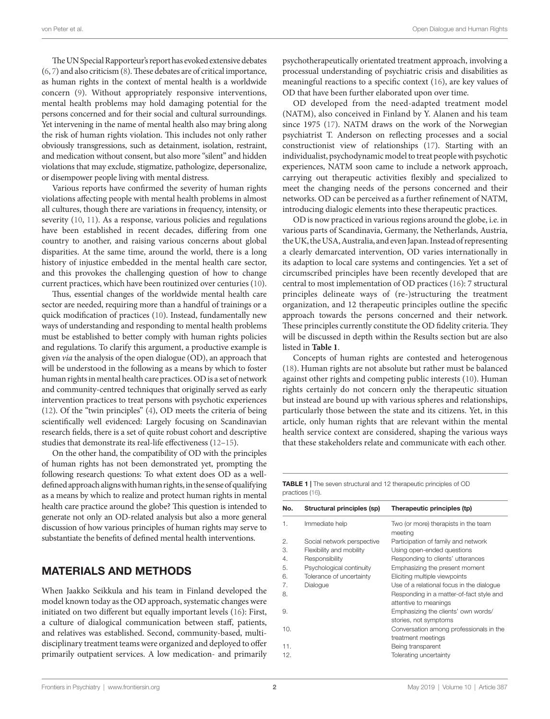The UN Special Rapporteur's report has evoked extensive debates [\(6,](#page-5-5) [7\)](#page-5-6) and also criticism ([8\)](#page-5-7). These debates are of critical importance, as human rights in the context of mental health is a worldwide concern [\(9\)](#page-5-8). Without appropriately responsive interventions, mental health problems may hold damaging potential for the persons concerned and for their social and cultural surroundings. Yet intervening in the name of mental health also may bring along the risk of human rights violation. This includes not only rather obviously transgressions, such as detainment, isolation, restraint, and medication without consent, but also more "silent" and hidden violations that may exclude, stigmatize, pathologize, depersonalize, or disempower people living with mental distress.

Various reports have confirmed the severity of human rights violations affecting people with mental health problems in almost all cultures, though there are variations in frequency, intensity, or severity [\(10](#page-5-9), [11](#page-5-10)). As a response, various policies and regulations have been established in recent decades, differing from one country to another, and raising various concerns about global disparities. At the same time, around the world, there is a long history of injustice embedded in the mental health care sector, and this provokes the challenging question of how to change current practices, which have been routinized over centuries [\(10](#page-5-9)).

Thus, essential changes of the worldwide mental health care sector are needed, requiring more than a handful of trainings or a quick modification of practices ([10\)](#page-5-9). Instead, fundamentally new ways of understanding and responding to mental health problems must be established to better comply with human rights policies and regulations. To clarify this argument, a productive example is given *via* the analysis of the open dialogue (OD), an approach that will be understood in the following as a means by which to foster human rights in mental health care practices. OD is a set of network and community-centred techniques that originally served as early intervention practices to treat persons with psychotic experiences [\(12](#page-5-11)). Of the "twin principles" ([4](#page-5-3)), OD meets the criteria of being scientifically well evidenced: Largely focusing on Scandinavian research fields, there is a set of quite robust cohort and descriptive studies that demonstrate its real-life effectiveness [\(12](#page-5-11)[–15](#page-5-12)).

On the other hand, the compatibility of OD with the principles of human rights has not been demonstrated yet, prompting the following research questions: To what extent does OD as a welldefined approach aligns with human rights, in the sense of qualifying as a means by which to realize and protect human rights in mental health care practice around the globe? This question is intended to generate not only an OD-related analysis but also a more general discussion of how various principles of human rights may serve to substantiate the benefits of defined mental health interventions.

# MATERIALS AND METHODS

When Jaakko Seikkula and his team in Finland developed the model known today as the OD approach, systematic changes were initiated on two different but equally important levels ([16\)](#page-5-13): First, a culture of dialogical communication between staff, patients, and relatives was established. Second, community-based, multidisciplinary treatment teams were organized and deployed to offer primarily outpatient services. A low medication- and primarily psychotherapeutically orientated treatment approach, involving a processual understanding of psychiatric crisis and disabilities as meaningful reactions to a specific context ([16\)](#page-5-13), are key values of OD that have been further elaborated upon over time.

OD developed from the need-adapted treatment model (NATM), also conceived in Finland by Y. Alanen and his team since 1975 ([17\)](#page-5-14). NATM draws on the work of the Norwegian psychiatrist T. Anderson on reflecting processes and a social constructionist view of relationships ([17\)](#page-5-14). Starting with an individualist, psychodynamic model to treat people with psychotic experiences, NATM soon came to include a network approach, carrying out therapeutic activities flexibly and specialized to meet the changing needs of the persons concerned and their networks. OD can be perceived as a further refinement of NATM, introducing dialogic elements into these therapeutic practices.

OD is now practiced in various regions around the globe, i.e. in various parts of Scandinavia, Germany, the Netherlands, Austria, the UK, the USA, Australia, and even Japan. Instead of representing a clearly demarcated intervention, OD varies internationally in its adaption to local care systems and contingencies. Yet a set of circumscribed principles have been recently developed that are central to most implementation of OD practices [\(16](#page-5-13)): 7 structural principles delineate ways of (re-)structuring the treatment organization, and 12 therapeutic principles outline the specific approach towards the persons concerned and their network. These principles currently constitute the OD fidelity criteria. They will be discussed in depth within the Results section but are also listed in **[Table 1](#page-1-0)**.

Concepts of human rights are contested and heterogenous [\(18](#page-5-15)). Human rights are not absolute but rather must be balanced against other rights and competing public interests ([10\)](#page-5-9). Human rights certainly do not concern only the therapeutic situation but instead are bound up with various spheres and relationships, particularly those between the state and its citizens. Yet, in this article, only human rights that are relevant within the mental health service context are considered, shaping the various ways that these stakeholders relate and communicate with each other.

<span id="page-1-0"></span>TABLE 1 | The seven structural and 12 therapeutic principles of OD practices ([16\)](#page-5-13).

| No. | Structural principles (sp) | Therapeutic principles (tp)                                       |
|-----|----------------------------|-------------------------------------------------------------------|
| 1.  | Immediate help             | Two (or more) therapists in the team<br>meeting                   |
| 2.  | Social network perspective | Participation of family and network                               |
| З.  | Flexibility and mobility   | Using open-ended questions                                        |
| 4.  | Responsibility             | Responding to clients' utterances                                 |
| 5.  | Psychological continuity   | Emphasizing the present moment                                    |
| 6.  | Tolerance of uncertainty   | Eliciting multiple viewpoints                                     |
| 7.  | Dialogue                   | Use of a relational focus in the dialoque                         |
| 8.  |                            | Responding in a matter-of-fact style and<br>attentive to meanings |
| 9.  |                            | Emphasizing the clients' own words/                               |
|     |                            | stories, not symptoms                                             |
| 10. |                            | Conversation among professionals in the                           |
|     |                            | treatment meetings                                                |
| 11. |                            | Being transparent                                                 |
| 12. |                            | Tolerating uncertainty                                            |
|     |                            |                                                                   |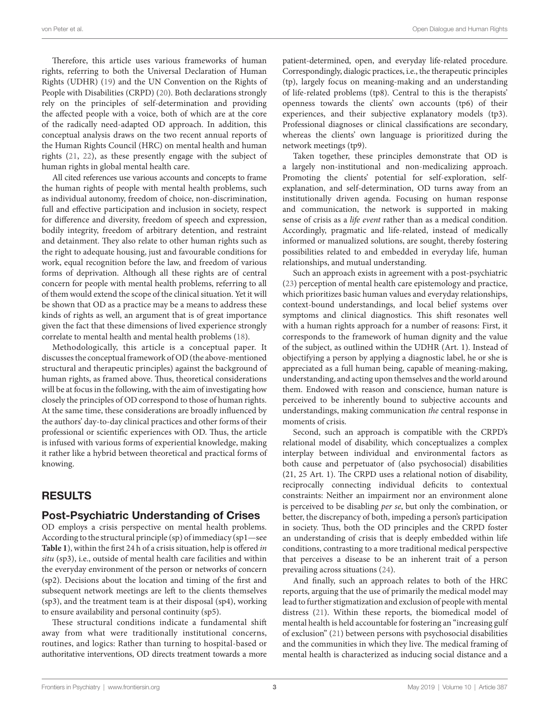Therefore, this article uses various frameworks of human rights, referring to both the Universal Declaration of Human Rights (UDHR) ([19\)](#page-5-16) and the UN Convention on the Rights of People with Disabilities (CRPD) ([20\)](#page-5-17). Both declarations strongly rely on the principles of self-determination and providing the affected people with a voice, both of which are at the core of the radically need-adapted OD approach. In addition, this conceptual analysis draws on the two recent annual reports of the Human Rights Council (HRC) on mental health and human rights [\(21,](#page-5-18) [22\)](#page-5-19), as these presently engage with the subject of human rights in global mental health care.

All cited references use various accounts and concepts to frame the human rights of people with mental health problems, such as individual autonomy, freedom of choice, non-discrimination, full and effective participation and inclusion in society, respect for difference and diversity, freedom of speech and expression, bodily integrity, freedom of arbitrary detention, and restraint and detainment. They also relate to other human rights such as the right to adequate housing, just and favourable conditions for work, equal recognition before the law, and freedom of various forms of deprivation. Although all these rights are of central concern for people with mental health problems, referring to all of them would extend the scope of the clinical situation. Yet it will be shown that OD as a practice may be a means to address these kinds of rights as well, an argument that is of great importance given the fact that these dimensions of lived experience strongly correlate to mental health and mental health problems [\(18](#page-5-15)).

Methodologically, this article is a conceptual paper. It discusses the conceptual framework of OD (the above-mentioned structural and therapeutic principles) against the background of human rights, as framed above. Thus, theoretical considerations will be at focus in the following, with the aim of investigating how closely the principles of OD correspond to those of human rights. At the same time, these considerations are broadly influenced by the authors' day-to-day clinical practices and other forms of their professional or scientific experiences with OD. Thus, the article is infused with various forms of experiential knowledge, making it rather like a hybrid between theoretical and practical forms of knowing.

# RESULTS

# Post-Psychiatric Understanding of Crises

OD employs a crisis perspective on mental health problems. According to the structural principle (sp) of immediacy (sp1—see **[Table 1](#page-1-0)**), within the first 24 h of a crisis situation, help is offered *in situ* (sp3), i.e., outside of mental health care facilities and within the everyday environment of the person or networks of concern (sp2). Decisions about the location and timing of the first and subsequent network meetings are left to the clients themselves (sp3), and the treatment team is at their disposal (sp4), working to ensure availability and personal continuity (sp5).

These structural conditions indicate a fundamental shift away from what were traditionally institutional concerns, routines, and logics: Rather than turning to hospital-based or authoritative interventions, OD directs treatment towards a more

patient-determined, open, and everyday life-related procedure. Correspondingly, dialogic practices, i.e., the therapeutic principles (tp), largely focus on meaning-making and an understanding of life-related problems (tp8). Central to this is the therapists' openness towards the clients' own accounts (tp6) of their experiences, and their subjective explanatory models (tp3). Professional diagnoses or clinical classifications are secondary, whereas the clients' own language is prioritized during the network meetings (tp9).

Taken together, these principles demonstrate that OD is a largely non-institutional and non-medicalizing approach. Promoting the clients' potential for self-exploration, selfexplanation, and self-determination, OD turns away from an institutionally driven agenda. Focusing on human response and communication, the network is supported in making sense of crisis as a *life event* rather than as a medical condition. Accordingly, pragmatic and life-related, instead of medically informed or manualized solutions, are sought, thereby fostering possibilities related to and embedded in everyday life, human relationships, and mutual understanding.

Such an approach exists in agreement with a post-psychiatric [\(23](#page-5-20)) perception of mental health care epistemology and practice, which prioritizes basic human values and everyday relationships, context-bound understandings, and local belief systems over symptoms and clinical diagnostics. This shift resonates well with a human rights approach for a number of reasons: First, it corresponds to the framework of human dignity and the value of the subject, as outlined within the UDHR (Art. 1). Instead of objectifying a person by applying a diagnostic label, he or she is appreciated as a full human being, capable of meaning-making, understanding, and acting upon themselves and the world around them. Endowed with reason and conscience, human nature is perceived to be inherently bound to subjective accounts and understandings, making communication *the* central response in moments of crisis.

Second, such an approach is compatible with the CRPD's relational model of disability, which conceptualizes a complex interplay between individual and environmental factors as both cause and perpetuator of (also psychosocial) disabilities (21, 25 Art. 1). The CRPD uses a relational notion of disability, reciprocally connecting individual deficits to contextual constraints: Neither an impairment nor an environment alone is perceived to be disabling *per se*, but only the combination, or better, the discrepancy of both, impeding a person's participation in society. Thus, both the OD principles and the CRPD foster an understanding of crisis that is deeply embedded within life conditions, contrasting to a more traditional medical perspective that perceives a disease to be an inherent trait of a person prevailing across situations ([24\)](#page-5-21).

And finally, such an approach relates to both of the HRC reports, arguing that the use of primarily the medical model may lead to further stigmatization and exclusion of people with mental distress ([21](#page-5-18)). Within these reports, the biomedical model of mental health is held accountable for fostering an "increasing gulf of exclusion" ([21\)](#page-5-18) between persons with psychosocial disabilities and the communities in which they live. The medical framing of mental health is characterized as inducing social distance and a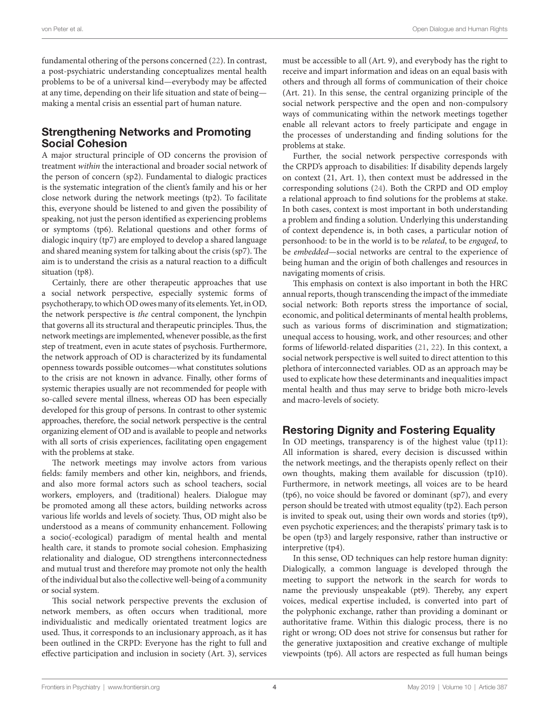fundamental othering of the persons concerned [\(22\)](#page-5-19). In contrast, a post-psychiatric understanding conceptualizes mental health problems to be of a universal kind—everybody may be affected at any time, depending on their life situation and state of being making a mental crisis an essential part of human nature.

# Strengthening Networks and Promoting Social Cohesion

A major structural principle of OD concerns the provision of treatment *within* the interactional and broader social network of the person of concern (sp2). Fundamental to dialogic practices is the systematic integration of the client's family and his or her close network during the network meetings (tp2). To facilitate this, everyone should be listened to and given the possibility of speaking, not just the person identified as experiencing problems or symptoms (tp6). Relational questions and other forms of dialogic inquiry (tp7) are employed to develop a shared language and shared meaning system for talking about the crisis (sp7). The aim is to understand the crisis as a natural reaction to a difficult situation (tp8).

Certainly, there are other therapeutic approaches that use a social network perspective, especially systemic forms of psychotherapy, to which OD owes many of its elements. Yet, in OD, the network perspective is *the* central component, the lynchpin that governs all its structural and therapeutic principles. Thus, the network meetings are implemented, whenever possible, as the first step of treatment, even in acute states of psychosis. Furthermore, the network approach of OD is characterized by its fundamental openness towards possible outcomes—what constitutes solutions to the crisis are not known in advance. Finally, other forms of systemic therapies usually are not recommended for people with so-called severe mental illness, whereas OD has been especially developed for this group of persons. In contrast to other systemic approaches, therefore, the social network perspective is the central organizing element of OD and is available to people and networks with all sorts of crisis experiences, facilitating open engagement with the problems at stake.

The network meetings may involve actors from various fields: family members and other kin, neighbors, and friends, and also more formal actors such as school teachers, social workers, employers, and (traditional) healers. Dialogue may be promoted among all these actors, building networks across various life worlds and levels of society. Thus, OD might also be understood as a means of community enhancement. Following a socio(-ecological) paradigm of mental health and mental health care, it stands to promote social cohesion. Emphasizing relationality and dialogue, OD strengthens interconnectedness and mutual trust and therefore may promote not only the health of the individual but also the collective well-being of a community or social system.

This social network perspective prevents the exclusion of network members, as often occurs when traditional, more individualistic and medically orientated treatment logics are used. Thus, it corresponds to an inclusionary approach, as it has been outlined in the CRPD: Everyone has the right to full and effective participation and inclusion in society (Art. 3), services

must be accessible to all (Art. 9), and everybody has the right to receive and impart information and ideas on an equal basis with others and through all forms of communication of their choice (Art. 21). In this sense, the central organizing principle of the social network perspective and the open and non-compulsory ways of communicating within the network meetings together enable all relevant actors to freely participate and engage in the processes of understanding and finding solutions for the problems at stake.

Further, the social network perspective corresponds with the CRPD's approach to disabilities: If disability depends largely on context (21, Art. 1), then context must be addressed in the corresponding solutions [\(24](#page-5-21)). Both the CRPD and OD employ a relational approach to find solutions for the problems at stake. In both cases, context is most important in both understanding a problem and finding a solution. Underlying this understanding of context dependence is, in both cases, a particular notion of personhood: to be in the world is to be *related*, to be *engaged*, to be *embedded*—social networks are central to the experience of being human and the origin of both challenges and resources in navigating moments of crisis.

This emphasis on context is also important in both the HRC annual reports, though transcending the impact of the immediate social network: Both reports stress the importance of social, economic, and political determinants of mental health problems, such as various forms of discrimination and stigmatization; unequal access to housing, work, and other resources; and other forms of lifeworld-related disparities ([21,](#page-5-18) [22\)](#page-5-19). In this context, a social network perspective is well suited to direct attention to this plethora of interconnected variables. OD as an approach may be used to explicate how these determinants and inequalities impact mental health and thus may serve to bridge both micro-levels and macro-levels of society.

# Restoring Dignity and Fostering Equality

In OD meetings, transparency is of the highest value (tp11): All information is shared, every decision is discussed within the network meetings, and the therapists openly reflect on their own thoughts, making them available for discussion (tp10). Furthermore, in network meetings, all voices are to be heard (tp6), no voice should be favored or dominant (sp7), and every person should be treated with utmost equality (tp2). Each person is invited to speak out, using their own words and stories (tp9), even psychotic experiences; and the therapists' primary task is to be open (tp3) and largely responsive, rather than instructive or interpretive (tp4).

In this sense, OD techniques can help restore human dignity: Dialogically, a common language is developed through the meeting to support the network in the search for words to name the previously unspeakable (pt9). Thereby, any expert voices, medical expertise included, is converted into part of the polyphonic exchange, rather than providing a dominant or authoritative frame. Within this dialogic process, there is no right or wrong; OD does not strive for consensus but rather for the generative juxtaposition and creative exchange of multiple viewpoints (tp6). All actors are respected as full human beings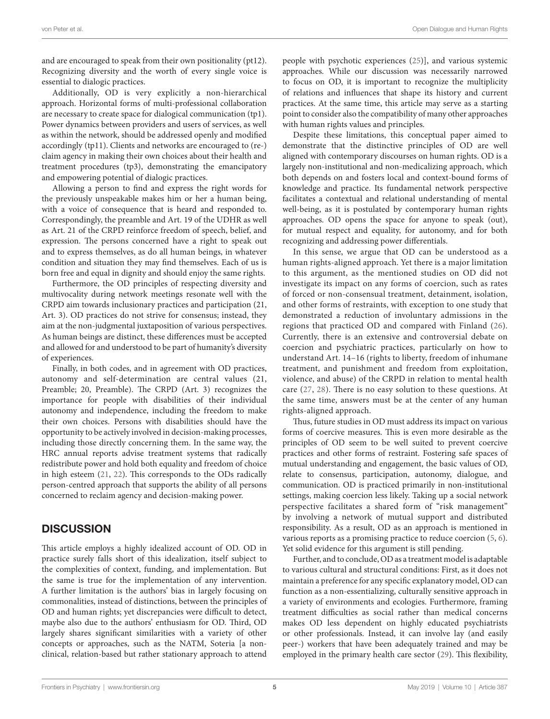and are encouraged to speak from their own positionality (pt12). Recognizing diversity and the worth of every single voice is essential to dialogic practices.

Additionally, OD is very explicitly a non-hierarchical approach. Horizontal forms of multi-professional collaboration are necessary to create space for dialogical communication (tp1). Power dynamics between providers and users of services, as well as within the network, should be addressed openly and modified accordingly (tp11). Clients and networks are encouraged to (re-) claim agency in making their own choices about their health and treatment procedures (tp3), demonstrating the emancipatory and empowering potential of dialogic practices.

Allowing a person to find and express the right words for the previously unspeakable makes him or her a human being, with a voice of consequence that is heard and responded to. Correspondingly, the preamble and Art. 19 of the UDHR as well as Art. 21 of the CRPD reinforce freedom of speech, belief, and expression. The persons concerned have a right to speak out and to express themselves, as do all human beings, in whatever condition and situation they may find themselves. Each of us is born free and equal in dignity and should enjoy the same rights.

Furthermore, the OD principles of respecting diversity and multivocality during network meetings resonate well with the CRPD aim towards inclusionary practices and participation (21, Art. 3). OD practices do not strive for consensus; instead, they aim at the non-judgmental juxtaposition of various perspectives. As human beings are distinct, these differences must be accepted and allowed for and understood to be part of humanity's diversity of experiences.

Finally, in both codes, and in agreement with OD practices, autonomy and self-determination are central values (21, Preamble; 20, Preamble). The CRPD (Art. 3) recognizes the importance for people with disabilities of their individual autonomy and independence, including the freedom to make their own choices. Persons with disabilities should have the opportunity to be actively involved in decision-making processes, including those directly concerning them. In the same way, the HRC annual reports advise treatment systems that radically redistribute power and hold both equality and freedom of choice in high esteem ([21,](#page-5-18) [22](#page-5-19)). This corresponds to the ODs radically person-centred approach that supports the ability of all persons concerned to reclaim agency and decision-making power.

# **DISCUSSION**

This article employs a highly idealized account of OD. OD in practice surely falls short of this idealization, itself subject to the complexities of context, funding, and implementation. But the same is true for the implementation of any intervention. A further limitation is the authors' bias in largely focusing on commonalities, instead of distinctions, between the principles of OD and human rights; yet discrepancies were difficult to detect, maybe also due to the authors' enthusiasm for OD. Third, OD largely shares significant similarities with a variety of other concepts or approaches, such as the NATM, Soteria [a nonclinical, relation-based but rather stationary approach to attend people with psychotic experiences [\(25](#page-5-22))], and various systemic approaches. While our discussion was necessarily narrowed to focus on OD, it is important to recognize the multiplicity of relations and influences that shape its history and current practices. At the same time, this article may serve as a starting point to consider also the compatibility of many other approaches with human rights values and principles.

Despite these limitations, this conceptual paper aimed to demonstrate that the distinctive principles of OD are well aligned with contemporary discourses on human rights. OD is a largely non-institutional and non-medicalizing approach, which both depends on and fosters local and context-bound forms of knowledge and practice. Its fundamental network perspective facilitates a contextual and relational understanding of mental well-being, as it is postulated by contemporary human rights approaches. OD opens the space for anyone to speak (out), for mutual respect and equality, for autonomy, and for both recognizing and addressing power differentials.

In this sense, we argue that OD can be understood as a human rights-aligned approach. Yet there is a major limitation to this argument, as the mentioned studies on OD did not investigate its impact on any forms of coercion, such as rates of forced or non-consensual treatment, detainment, isolation, and other forms of restraints, with exception to one study that demonstrated a reduction of involuntary admissions in the regions that practiced OD and compared with Finland ([26](#page-5-23)). Currently, there is an extensive and controversial debate on coercion and psychiatric practices, particularly on how to understand Art. 14–16 (rights to liberty, freedom of inhumane treatment, and punishment and freedom from exploitation, violence, and abuse) of the CRPD in relation to mental health care [\(27,](#page-5-24) [28](#page-5-25)). There is no easy solution to these questions. At the same time, answers must be at the center of any human rights-aligned approach.

Thus, future studies in OD must address its impact on various forms of coercive measures. This is even more desirable as the principles of OD seem to be well suited to prevent coercive practices and other forms of restraint. Fostering safe spaces of mutual understanding and engagement, the basic values of OD, relate to consensus, participation, autonomy, dialogue, and communication. OD is practiced primarily in non-institutional settings, making coercion less likely. Taking up a social network perspective facilitates a shared form of "risk management" by involving a network of mutual support and distributed responsibility. As a result, OD as an approach is mentioned in various reports as a promising practice to reduce coercion ([5](#page-5-4), [6](#page-5-5)). Yet solid evidence for this argument is still pending.

Further, and to conclude, OD as a treatment model is adaptable to various cultural and structural conditions: First, as it does not maintain a preference for any specific explanatory model, OD can function as a non-essentializing, culturally sensitive approach in a variety of environments and ecologies. Furthermore, framing treatment difficulties as social rather than medical concerns makes OD less dependent on highly educated psychiatrists or other professionals. Instead, it can involve lay (and easily peer-) workers that have been adequately trained and may be employed in the primary health care sector ([29\)](#page-5-26). This flexibility,